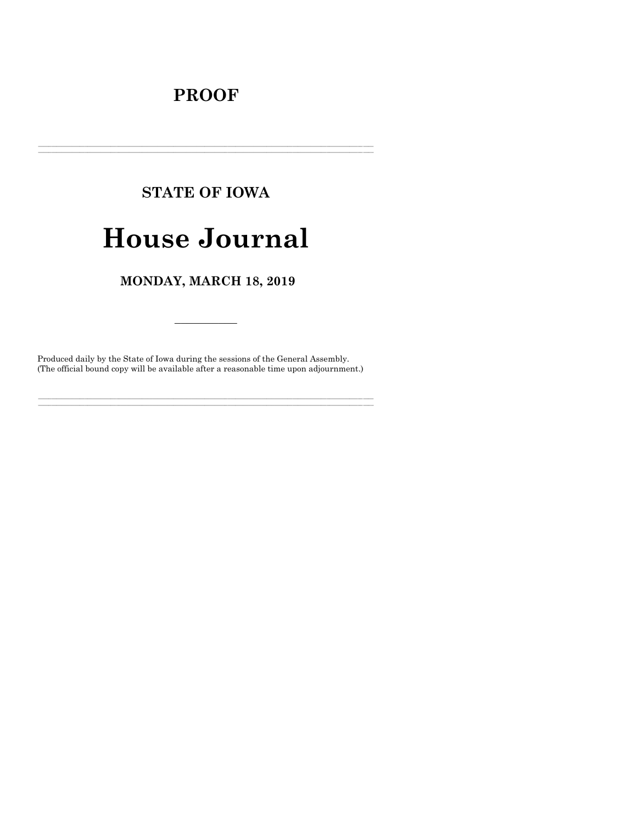## **PROOF**

# **STATE OF IOWA House Journal**

### MONDAY, MARCH 18, 2019

Produced daily by the State of Iowa during the sessions of the General Assembly. (The official bound copy will be available after a reasonable time upon adjournment.)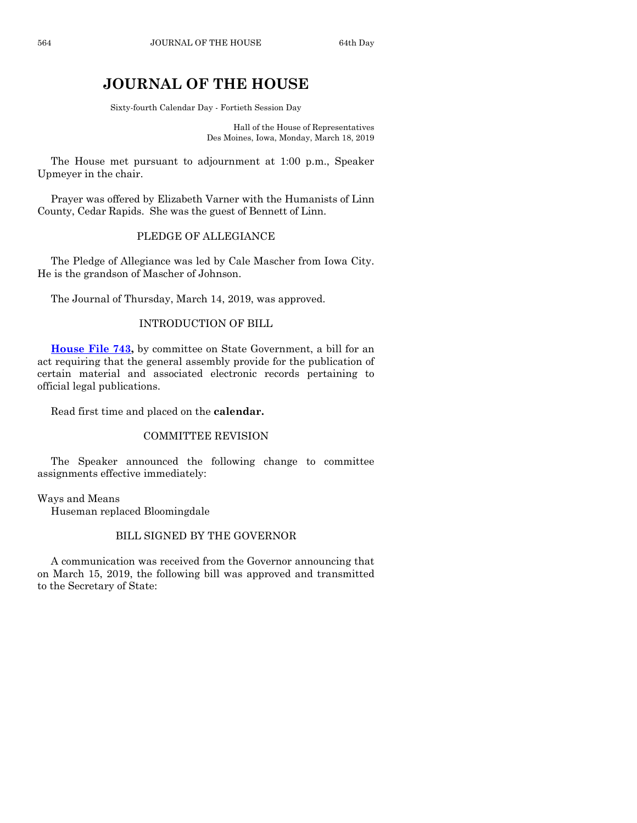## **JOURNAL OF THE HOUSE**

Sixty-fourth Calendar Day - Fortieth Session Day

Hall of the House of Representatives Des Moines, Iowa, Monday, March 18, 2019

The House met pursuant to adjournment at 1:00 p.m., Speaker Upmeyer in the chair.

Prayer was offered by Elizabeth Varner with the Humanists of Linn County, Cedar Rapids. She was the guest of Bennett of Linn.

#### PLEDGE OF ALLEGIANCE

The Pledge of Allegiance was led by Cale Mascher from Iowa City. He is the grandson of Mascher of Johnson.

The Journal of Thursday, March 14, 2019, was approved.

#### INTRODUCTION OF BILL

**[House File 743,](https://www.legis.iowa.gov/legislation/BillBook?ga=88&ba=HF743)** by committee on State Government, a bill for an act requiring that the general assembly provide for the publication of certain material and associated electronic records pertaining to official legal publications.

Read first time and placed on the **calendar.**

#### COMMITTEE REVISION

The Speaker announced the following change to committee assignments effective immediately:

Ways and Means Huseman replaced Bloomingdale

#### BILL SIGNED BY THE GOVERNOR

A communication was received from the Governor announcing that on March 15, 2019, the following bill was approved and transmitted to the Secretary of State: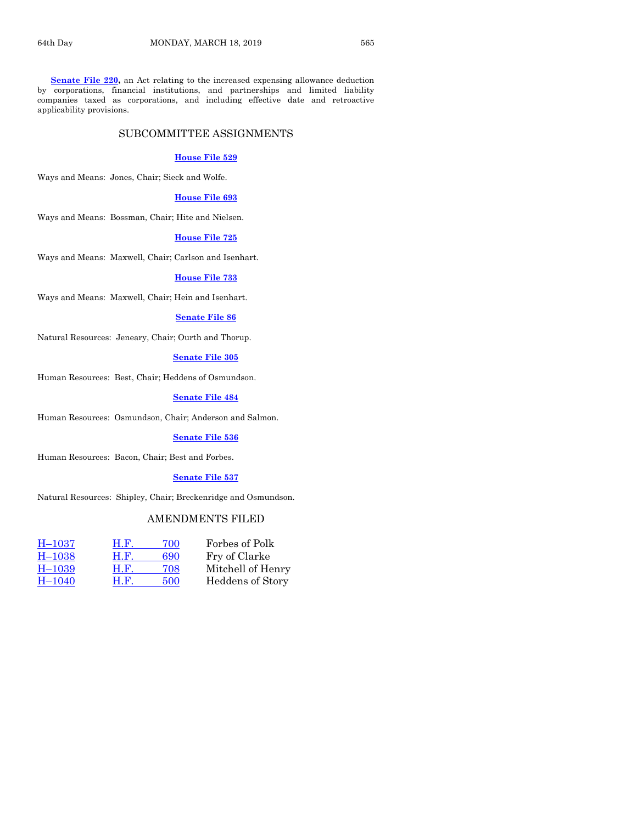**[Senate File 220,](https://www.legis.iowa.gov/legislation/BillBook?ga=88&ba=SF220)** an Act relating to the increased expensing allowance deduction by corporations, financial institutions, and partnerships and limited liability companies taxed as corporations, and including effective date and retroactive applicability provisions.

#### SUBCOMMITTEE ASSIGNMENTS

#### **[House File 529](https://www.legis.iowa.gov/legislation/BillBook?ga=88&ba=HF529)**

Ways and Means: Jones, Chair; Sieck and Wolfe.

#### **[House File 693](https://www.legis.iowa.gov/legislation/BillBook?ga=88&ba=HF693)**

Ways and Means: Bossman, Chair; Hite and Nielsen.

#### **[House File 725](https://www.legis.iowa.gov/legislation/BillBook?ga=88&ba=HF725)**

Ways and Means: Maxwell, Chair; Carlson and Isenhart.

#### **[House File 733](https://www.legis.iowa.gov/legislation/BillBook?ga=88&ba=HF733)**

Ways and Means: Maxwell, Chair; Hein and Isenhart.

#### **[Senate File 86](https://www.legis.iowa.gov/legislation/BillBook?ga=88&ba=SF86)**

Natural Resources: Jeneary, Chair; Ourth and Thorup.

#### **[Senate File 305](https://www.legis.iowa.gov/legislation/BillBook?ga=88&ba=SF305)**

Human Resources: Best, Chair; Heddens of Osmundson.

#### **[Senate File 484](https://www.legis.iowa.gov/legislation/BillBook?ga=88&ba=SF484)**

Human Resources: Osmundson, Chair; Anderson and Salmon.

#### **[Senate File 536](https://www.legis.iowa.gov/legislation/BillBook?ga=88&ba=SF536)**

Human Resources: Bacon, Chair; Best and Forbes.

#### **[Senate File 537](https://www.legis.iowa.gov/legislation/BillBook?ga=88&ba=SF537)**

Natural Resources: Shipley, Chair; Breckenridge and Osmundson.

#### AMENDMENTS FILED

| $H-1037$ | H.F. | 700 | Forbes of Polk    |
|----------|------|-----|-------------------|
| $H-1038$ | H.F. | 690 | Fry of Clarke     |
| $H-1039$ | H.F. | 708 | Mitchell of Henry |
| $H-1040$ | H.F. | 500 | Heddens of Story  |